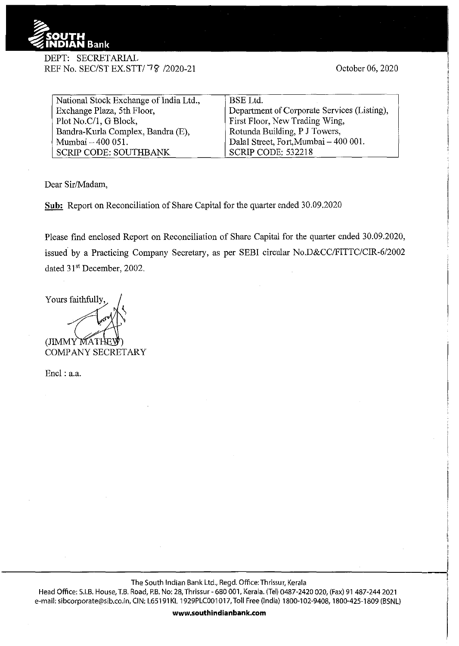

## DEPT: SECRETARJAL REF No. SEC/ST EX.STT/78 /2020-21

October 06, 2020

| National Stock Exchange of India Ltd., | BSE Ltd.                                    |
|----------------------------------------|---------------------------------------------|
| Exchange Plaza, 5th Floor,             | Department of Corporate Services (Listing), |
| Plot No.C/1, G Block,                  | First Floor, New Trading Wing,              |
| Bandra-Kurla Complex, Bandra (E),      | Rotunda Building, P J Towers,               |
| Mumbai - 400 051.                      | Dalal Street, Fort, Mumbai - 400 001.       |
| <b>SCRIP CODE: SOUTHBANK</b>           | SCRIP CODE: 532218                          |

Dear Sir/Madam,

**Sub:** Report on Reconciliation of Share Capital for the quarter ended 30.09.2020

Please find enclosed Report on Reconciliation of Share Capital for the quarter ended 30.09.2020, issued by a Practicing Company Secretary, as per SEBI circular No.D&CC/FITTC/CIR-6/2002 dated 31<sup>st</sup> December, 2002.

Yours faithfully,

(JIMMY MATH COMPANY SECRETARY

Encl: a.a.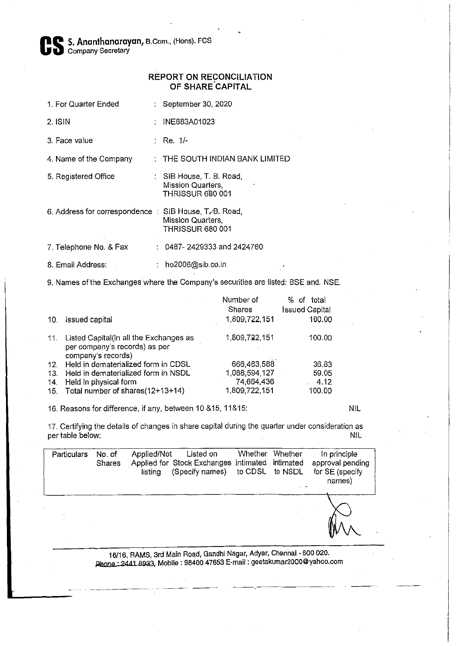Cs **S. Ananthanarayan,** B. Com., (Hons). FCS Company Secretary

## **REPORT ON RECONCILIATION OF SHARE.CAPITAL**

- 1. For Quarter Ended : September 30, 2020
- 2. ISIN INE683A01023
- $3.$  Face value  $\qquad \qquad :$  Re.  $1/-$

4. Name of the Company : THE SOUTH INDIAN BANK LIMITED

- 5. Registered Office **SIB House, T. B. Road,** Mission Quarters, THRISSUR 680 001
- 6. Address for correspondence : SIB House, T.A. Road, Mission Quarters, THRISSUR 680 001

7. Telephone No. & Fax : 0487- 2429333 and 2424760

8. Email Address: : ho2006@sib.co.in

9. Names of the Exchanges where the Company's securities are listed: BSE and. NSE.

| 10. | Issued capital                                                                                    | Number of<br>Shares<br>1,809,722,151 | %.<br>total<br>οf<br><b>Issued Capital</b><br>100.00 |  |
|-----|---------------------------------------------------------------------------------------------------|--------------------------------------|------------------------------------------------------|--|
|     |                                                                                                   |                                      |                                                      |  |
|     | 11. Listed Capital(in all the Exchanges as<br>per company's records) as per<br>company's records) | 1,809,722,151                        | 100.00                                               |  |
|     | 12. Held in dematerialized form in CDSL                                                           | 666,463,588                          | 36.83                                                |  |
| 13. | Held in dematerialized form in NSDL                                                               | 1,068,594,127                        | 59.05                                                |  |
| 14. | Held in physical form                                                                             | 74,664,436                           | 4.12                                                 |  |
|     | 15. Total number of shares(12+13+14)                                                              | 1,809,722,151                        | 100.00                                               |  |

16. Reasons for difference, if any, between 10 &15, 11&15: NIL

17. Certifying the details of changes in share capital during the quarter under consideration as per table below: NIL

| Particulars | No. of<br>Shares | Applied/Not<br>listing | Listed on<br>Applied for Stock Exchanges intimated intimated<br>(Specify names) to CDSL to NSDL | Whether | Whether | In principle<br>approval pending<br>for SE (specify<br>names) |
|-------------|------------------|------------------------|-------------------------------------------------------------------------------------------------|---------|---------|---------------------------------------------------------------|
|             |                  |                        |                                                                                                 |         |         |                                                               |

16/16, RAMS, 3rd Main Road, Gandhi Nagar, Adyar, Chennai · 600 020. Phone: 2441 8933, Mobile: 98400 47653 E-mail : geetakumar2000@yahoo.com